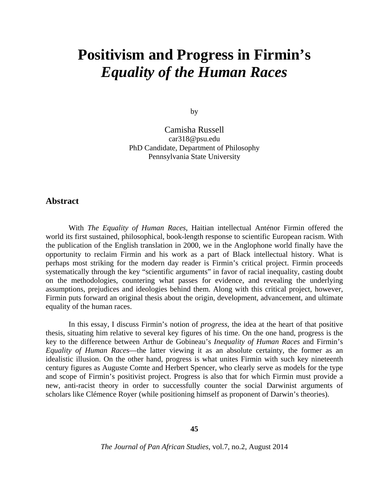# **Positivism and Progress in Firmin's**  *Equality of the Human Races*

by

Camisha Russell [car318@psu.edu](mailto:car318@psu.edu)  PhD Candidate, Department of Philosophy Pennsylvania State University

#### **Abstract**

With *The Equality of Human Races*, Haitian intellectual Anténor Firmin offered the world its first sustained, philosophical, book-length response to scientific European racism. With the publication of the English translation in 2000, we in the Anglophone world finally have the opportunity to reclaim Firmin and his work as a part of Black intellectual history. What is perhaps most striking for the modern day reader is Firmin's critical project. Firmin proceeds systematically through the key "scientific arguments" in favor of racial inequality, casting doubt on the methodologies, countering what passes for evidence, and revealing the underlying assumptions, prejudices and ideologies behind them. Along with this critical project, however, Firmin puts forward an original thesis about the origin, development, advancement, and ultimate equality of the human races.

In this essay, I discuss Firmin's notion of *progress*, the idea at the heart of that positive thesis, situating him relative to several key figures of his time. On the one hand, progress is the key to the difference between Arthur de Gobineau's *Inequality of Human Races* and Firmin's *Equality of Human Races*—the latter viewing it as an absolute certainty, the former as an idealistic illusion. On the other hand, progress is what unites Firmin with such key nineteenth century figures as Auguste Comte and Herbert Spencer, who clearly serve as models for the type and scope of Firmin's positivist project. Progress is also that for which Firmin must provide a new, anti-racist theory in order to successfully counter the social Darwinist arguments of scholars like Clémence Royer (while positioning himself as proponent of Darwin's theories).

**45**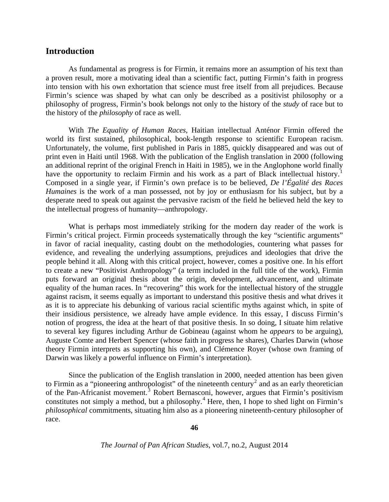### **Introduction**

As fundamental as progress is for Firmin, it remains more an assumption of his text than a proven result, more a motivating ideal than a scientific fact, putting Firmin's faith in progress into tension with his own exhortation that science must free itself from all prejudices. Because Firmin's science was shaped by what can only be described as a positivist philosophy or a philosophy of progress, Firmin's book belongs not only to the history of the *study* of race but to the history of the *philosophy* of race as well.

With *The Equality of Human Races*, Haitian intellectual Anténor Firmin offered the world its first sustained, philosophical, book-length response to scientific European racism. Unfortunately, the volume, first published in Paris in 1885, quickly disappeared and was out of print even in Haiti until 1968. With the publication of the English translation in 2000 (following an additional reprint of the original French in Haiti in 1985), we in the Anglophone world finally have the opportunity to reclaim Firmin and his work as a part of Black intellectual history.<sup>[1](#page-22-0)</sup> Composed in a single year, if Firmin's own preface is to be believed, *De l'Égalité des Races Humaines* is the work of a man possessed, not by joy or enthusiasm for his subject, but by a desperate need to speak out against the pervasive racism of the field he believed held the key to the intellectual progress of humanity—anthropology.

 What is perhaps most immediately striking for the modern day reader of the work is Firmin's critical project. Firmin proceeds systematically through the key "scientific arguments" in favor of racial inequality, casting doubt on the methodologies, countering what passes for evidence, and revealing the underlying assumptions, prejudices and ideologies that drive the people behind it all. Along with this critical project, however, comes a positive one. In his effort to create a new "Positivist Anthropology" (a term included in the full title of the work), Firmin puts forward an original thesis about the origin, development, advancement, and ultimate equality of the human races. In "recovering" this work for the intellectual history of the struggle against racism, it seems equally as important to understand this positive thesis and what drives it as it is to appreciate his debunking of various racial scientific myths against which, in spite of their insidious persistence, we already have ample evidence. In this essay, I discuss Firmin's notion of progress, the idea at the heart of that positive thesis. In so doing, I situate him relative to several key figures including Arthur de Gobineau (against whom he *appears* to be arguing), Auguste Comte and Herbert Spencer (whose faith in progress he shares), Charles Darwin (whose theory Firmin interprets as supporting his own), and Clémence Royer (whose own framing of Darwin was likely a powerful influence on Firmin's interpretation).

 Since the publication of the English translation in 2000, needed attention has been given to Firmin as a "pioneering anthropologist" of the nineteenth century<sup>[2](#page-22-1)</sup> and as an early theoretician of the Pan-Africanist movement.<sup>[3](#page-22-1)</sup> Robert Bernasconi, however, argues that Firmin's positivism constitutes not simply a method, but a philosophy.<sup>[4](#page-22-1)</sup> Here, then, I hope to shed light on Firmin's *philosophical* commitments, situating him also as a pioneering nineteenth-century philosopher of race.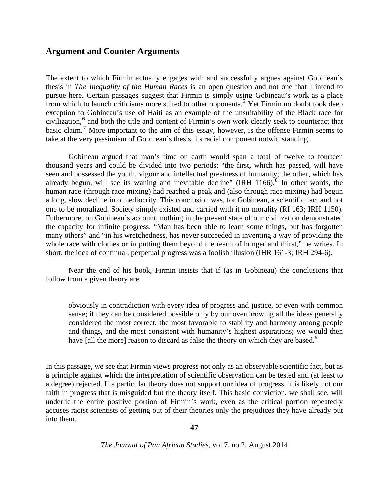## **Argument and Counter Arguments**

The extent to which Firmin actually engages with and successfully argues against Gobineau's thesis in *The Inequality of the Human Races* is an open question and not one that I intend to pursue here. Certain passages suggest that Firmin is simply using Gobineau's work as a place from which to launch criticisms more suited to other opponents.<sup>[5](#page-22-1)</sup> Yet Firmin no doubt took deep exception to Gobineau's use of Haiti as an example of the unsuitability of the Black race for civilization, $6$  and both the title and content of Firmin's own work clearly seek to counteract that basic claim.<sup>[7](#page-22-1)</sup> More important to the aim of this essay, however, is the offense Firmin seems to take at the very pessimism of Gobineau's thesis, its racial component notwithstanding.

Gobineau argued that man's time on earth would span a total of twelve to fourteen thousand years and could be divided into two periods: "the first, which has passed, will have seen and possessed the youth, vigour and intellectual greatness of humanity; the other, which has already begun, will see its waning and inevitable decline"  $(IRH 1166)$ .<sup>[8](#page-22-1)</sup> In other words, the human race (through race mixing) had reached a peak and (also through race mixing) had begun a long, slow decline into mediocrity. This conclusion was, for Gobineau, a scientific fact and not one to be moralized. Society simply existed and carried with it no morality (RI 163; IRH 1150). Futhermore, on Gobineau's account, nothing in the present state of our civilization demonstrated the capacity for infinite progress. "Man has been able to learn some things, but has forgotten many others" and "in his wretchedness, has never succeeded in inventing a way of providing the whole race with clothes or in putting them beyond the reach of hunger and thirst," he writes. In short, the idea of continual, perpetual progress was a foolish illusion (IHR 161-3; IRH 294-6).

Near the end of his book, Firmin insists that if (as in Gobineau) the conclusions that follow from a given theory are

obviously in contradiction with every idea of progress and justice, or even with common sense; if they can be considered possible only by our overthrowing all the ideas generally considered the most correct, the most favorable to stability and harmony among people and things, and the most consistent with humanity's highest aspirations; we would then have [all the more] reason to discard as false the theory on which they are based.<sup>[9](#page-22-1)</sup>

In this passage, we see that Firmin views progress not only as an observable scientific fact, but as a principle against which the interpretation of scientific observation can be tested and (at least to a degree) rejected. If a particular theory does not support our idea of progress, it is likely not our faith in progress that is misguided but the theory itself. This basic conviction, we shall see, will underlie the entire positive portion of Firmin's work, even as the critical portion repeatedly accuses racist scientists of getting out of their theories only the prejudices they have already put into them.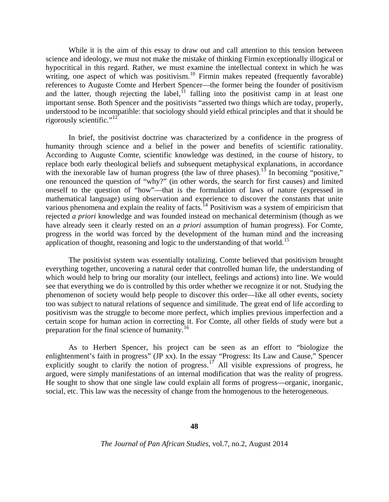While it is the aim of this essay to draw out and call attention to this tension between science and ideology, we must not make the mistake of thinking Firmin exceptionally illogical or hypocritical in this regard. Rather, we must examine the intellectual context in which he was writing, one aspect of which was positivism.<sup>[10](#page-22-1)</sup> Firmin makes repeated (frequently favorable) references to Auguste Comte and Herbert Spencer—the former being the founder of positivism and the latter, though rejecting the label, $<sup>11</sup>$  $<sup>11</sup>$  $<sup>11</sup>$  falling into the positivist camp in at least one</sup> important sense. Both Spencer and the positivists "asserted two things which are today, properly, understood to be incompatible: that sociology should yield ethical principles and that it should be rigorously scientific."[12](#page-22-1)

In brief, the positivist doctrine was characterized by a confidence in the progress of humanity through science and a belief in the power and benefits of scientific rationality. According to Auguste Comte, scientific knowledge was destined, in the course of history, to replace both early theological beliefs and subsequent metaphysical explanations, in accordance with the inexorable law of human progress (the law of three phases).<sup>[13](#page-22-1)</sup> In becoming "positive," one renounced the question of "why?" (in other words, the search for first causes) and limited oneself to the question of "how"—that is the formulation of laws of nature (expressed in mathematical language) using observation and experience to discover the constants that unite various phenomena and explain the reality of facts.<sup>[14](#page-22-1)</sup> Positivism was a system of empiricism that rejected *a priori* knowledge and was founded instead on mechanical determinism (though as we have already seen it clearly rested on an *a priori* assumption of human progress). For Comte, progress in the world was forced by the development of the human mind and the increasing application of thought, reasoning and logic to the understanding of that world.<sup>[15](#page-22-1)</sup>

 The positivist system was essentially totalizing. Comte believed that positivism brought everything together, uncovering a natural order that controlled human life, the understanding of which would help to bring our morality (our intellect, feelings and actions) into line. We would see that everything we do is controlled by this order whether we recognize it or not. Studying the phenomenon of society would help people to discover this order—like all other events, society too was subject to natural relations of sequence and similitude. The great end of life according to positivism was the struggle to become more perfect, which implies previous imperfection and a certain scope for human action in correcting it. For Comte, all other fields of study were but a preparation for the final science of humanity.<sup>[16](#page-22-1)</sup>

 As to Herbert Spencer, his project can be seen as an effort to "biologize the enlightenment's faith in progress" (JP xx). In the essay "Progress: Its Law and Cause," Spencer explicitly sought to clarify the notion of progress.<sup>[17](#page-22-1)</sup> All visible expressions of progress, he argued, were simply manifestations of an internal modification that was the reality of progress. He sought to show that one single law could explain all forms of progress—organic, inorganic, social, etc. This law was the necessity of change from the homogenous to the heterogeneous.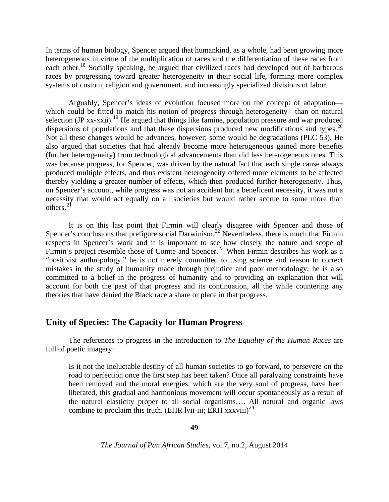In terms of human biology, Spencer argued that humankind, as a whole, had been growing more heterogeneous in virtue of the multiplication of races and the differentiation of these races from each other.<sup>[18](#page-22-1)</sup> Socially speaking, he argued that civilized races had developed out of barbarous races by progressing toward greater heterogeneity in their social life, forming more complex systems of custom, religion and government, and increasingly specialized divisions of labor.

Arguably, Spencer's ideas of evolution focused more on the concept of adaptation which could be fitted to match his notion of progress through heterogeneity—than on natural selection (JP xx-xxii).<sup>[19](#page-22-1)</sup> He argued that things like famine, population pressure and war produced dispersions of populations and that these dispersions produced new modifications and types.<sup>[20](#page-22-1)</sup> Not all these changes would be advances, however; some would be degradations (PLC 53). He also argued that societies that had already become more heterogeneous gained more benefits (further heterogeneity) from technological advancements than did less heterogeneous ones. This was because progress, for Spencer, was driven by the natural fact that each single cause always produced multiple effects, and thus existent heterogeneity offered more elements to be affected thereby yielding a greater number of effects, which then produced further heterogeneity. Thus, on Spencer's account, while progress was not an accident but a beneficent necessity, it was not a necessity that would act equally on all societies but would rather accrue to some more than others. $2<sup>1</sup>$ 

 It is on this last point that Firmin will clearly disagree with Spencer and those of Spencer's conclusions that prefigure social Darwinism.<sup>[22](#page-22-1)</sup> Nevertheless, there is much that Firmin respects in Spencer's work and it is important to see how closely the nature and scope of Firmin's project resemble those of Comte and Spencer.<sup>[23](#page-22-1)</sup> When Firmin describes his work as a "positivist anthropology," he is not merely committed to using science and reason to correct mistakes in the study of humanity made through prejudice and poor methodology; he is also committed to a belief in the progress of humanity and to providing an explanation that will account for both the past of that progress and its continuation, all the while countering any theories that have denied the Black race a share or place in that progress.

# **Unity of Species: The Capacity for Human Progress**

 The references to progress in the introduction to *The Equality of the Human Races* are full of poetic imagery:

Is it not the ineluctable destiny of all human societies to go forward, to persevere on the road to perfection once the first step has been taken? Once all paralyzing constraints have been removed and the moral energies, which are the very soul of progress, have been liberated, this gradual and harmonious movement will occur spontaneously as a result of the natural elasticity proper to all social organisms…. All natural and organic laws combine to proclaim this truth. (EHR lvii-iii; ERH xxxviii)<sup>[24](#page-22-1)</sup>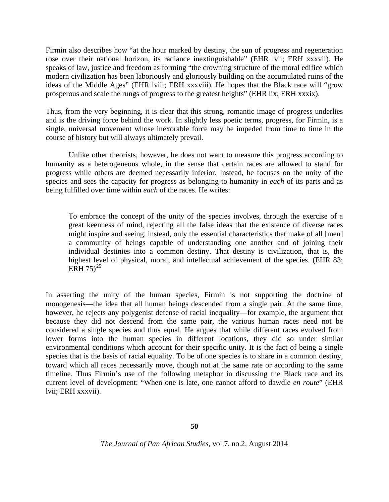Firmin also describes how "at the hour marked by destiny, the sun of progress and regeneration rose over their national horizon, its radiance inextinguishable" (EHR lvii; ERH xxxvii). He speaks of law, justice and freedom as forming "the crowning structure of the moral edifice which modern civilization has been laboriously and gloriously building on the accumulated ruins of the ideas of the Middle Ages" (EHR lviii; ERH xxxviii). He hopes that the Black race will "grow prosperous and scale the rungs of progress to the greatest heights" (EHR lix; ERH xxxix).

Thus, from the very beginning, it is clear that this strong, romantic image of progress underlies and is the driving force behind the work. In slightly less poetic terms, progress, for Firmin, is a single, universal movement whose inexorable force may be impeded from time to time in the course of history but will always ultimately prevail.

 Unlike other theorists, however, he does not want to measure this progress according to humanity as a heterogeneous whole, in the sense that certain races are allowed to stand for progress while others are deemed necessarily inferior. Instead, he focuses on the unity of the species and sees the capacity for progress as belonging to humanity in *each* of its parts and as being fulfilled over time within *each* of the races. He writes:

To embrace the concept of the unity of the species involves, through the exercise of a great keenness of mind, rejecting all the false ideas that the existence of diverse races might inspire and seeing, instead, only the essential characteristics that make of all [men] a community of beings capable of understanding one another and of joining their individual destinies into a common destiny. That destiny is civilization, that is, the highest level of physical, moral, and intellectual achievement of the species. (EHR 83;  $ERH$  75)<sup>[25](#page-22-1)</sup>

In asserting the unity of the human species, Firmin is not supporting the doctrine of monogenesis—the idea that all human beings descended from a single pair. At the same time, however, he rejects any polygenist defense of racial inequality—for example, the argument that because they did not descend from the same pair, the various human races need not be considered a single species and thus equal. He argues that while different races evolved from lower forms into the human species in different locations, they did so under similar environmental conditions which account for their specific unity. It is the fact of being a single species that is the basis of racial equality. To be of one species is to share in a common destiny, toward which all races necessarily move, though not at the same rate or according to the same timeline. Thus Firmin's use of the following metaphor in discussing the Black race and its current level of development: "When one is late, one cannot afford to dawdle *en route*" (EHR lvii; ERH xxxvii).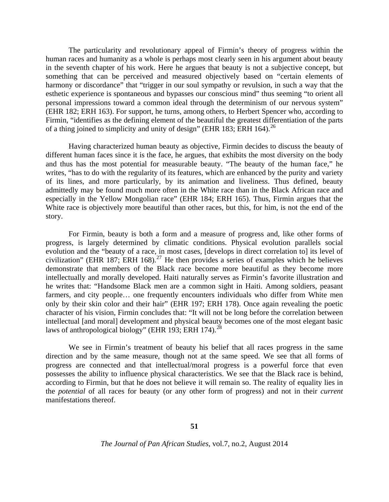The particularity and revolutionary appeal of Firmin's theory of progress within the human races and humanity as a whole is perhaps most clearly seen in his argument about beauty in the seventh chapter of his work. Here he argues that beauty is not a subjective concept, but something that can be perceived and measured objectively based on "certain elements of harmony or discordance" that "trigger in our soul sympathy or revulsion, in such a way that the esthetic experience is spontaneous and bypasses our conscious mind" thus seeming "to orient all personal impressions toward a common ideal through the determinism of our nervous system" (EHR 182; ERH 163). For support, he turns, among others, to Herbert Spencer who, according to Firmin, "identifies as the defining element of the beautiful the greatest differentiation of the parts of a thing joined to simplicity and unity of design" (EHR 183; ERH 164).<sup>[26](#page-22-1)</sup>

Having characterized human beauty as objective, Firmin decides to discuss the beauty of different human faces since it is the face, he argues, that exhibits the most diversity on the body and thus has the most potential for measurable beauty. "The beauty of the human face," he writes, "has to do with the regularity of its features, which are enhanced by the purity and variety of its lines, and more particularly, by its animation and liveliness. Thus defined, beauty admittedly may be found much more often in the White race than in the Black African race and especially in the Yellow Mongolian race" (EHR 184; ERH 165). Thus, Firmin argues that the White race is objectively more beautiful than other races, but this, for him, is not the end of the story.

 For Firmin, beauty is both a form and a measure of progress and, like other forms of progress, is largely determined by climatic conditions. Physical evolution parallels social evolution and the "beauty of a race, in most cases, [develops in direct correlation to] its level of civilization" (EHR 187; ERH 168).<sup>[27](#page-22-1)</sup> He then provides a series of examples which he believes demonstrate that members of the Black race become more beautiful as they become more intellectually and morally developed. Haiti naturally serves as Firmin's favorite illustration and he writes that: "Handsome Black men are a common sight in Haiti. Among soldiers, peasant farmers, and city people… one frequently encounters individuals who differ from White men only by their skin color and their hair" (EHR 197; ERH 178). Once again revealing the poetic character of his vision, Firmin concludes that: "It will not be long before the correlation between intellectual [and moral] development and physical beauty becomes one of the most elegant basic laws of anthropological biology" (EHR 193; ERH 174). $^{28}$  $^{28}$  $^{28}$ 

 We see in Firmin's treatment of beauty his belief that all races progress in the same direction and by the same measure, though not at the same speed. We see that all forms of progress are connected and that intellectual/moral progress is a powerful force that even possesses the ability to influence physical characteristics. We see that the Black race is behind, according to Firmin, but that he does not believe it will remain so. The reality of equality lies in the *potential* of all races for beauty (or any other form of progress) and not in their *current* manifestations thereof.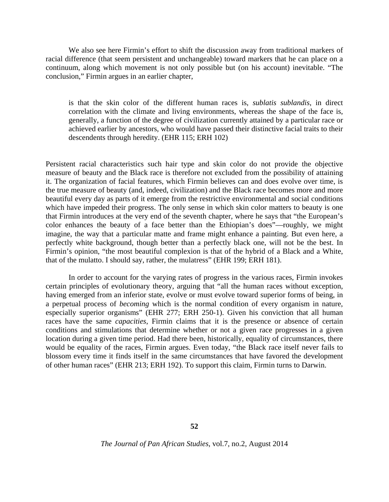We also see here Firmin's effort to shift the discussion away from traditional markers of racial difference (that seem persistent and unchangeable) toward markers that he can place on a continuum, along which movement is not only possible but (on his account) inevitable. "The conclusion," Firmin argues in an earlier chapter,

is that the skin color of the different human races is, *sublatis sublandis*, in direct correlation with the climate and living environments, whereas the shape of the face is, generally, a function of the degree of civilization currently attained by a particular race or achieved earlier by ancestors, who would have passed their distinctive facial traits to their descendents through heredity. (EHR 115; ERH 102)

Persistent racial characteristics such hair type and skin color do not provide the objective measure of beauty and the Black race is therefore not excluded from the possibility of attaining it. The organization of facial features, which Firmin believes can and does evolve over time, is the true measure of beauty (and, indeed, civilization) and the Black race becomes more and more beautiful every day as parts of it emerge from the restrictive environmental and social conditions which have impeded their progress. The only sense in which skin color matters to beauty is one that Firmin introduces at the very end of the seventh chapter, where he says that "the European's color enhances the beauty of a face better than the Ethiopian's does"—roughly, we might imagine, the way that a particular matte and frame might enhance a painting. But even here, a perfectly white background, though better than a perfectly black one, will not be the best. In Firmin's opinion, "the most beautiful complexion is that of the hybrid of a Black and a White, that of the mulatto. I should say, rather, the mulatress" (EHR 199; ERH 181).

 In order to account for the varying rates of progress in the various races, Firmin invokes certain principles of evolutionary theory, arguing that "all the human races without exception, having emerged from an inferior state, evolve or must evolve toward superior forms of being, in a perpetual process of *becoming* which is the normal condition of every organism in nature, especially superior organisms" (EHR 277; ERH 250-1). Given his conviction that all human races have the same *capacities*, Firmin claims that it is the presence or absence of certain conditions and stimulations that determine whether or not a given race progresses in a given location during a given time period. Had there been, historically, equality of circumstances, there would be equality of the races, Firmin argues. Even today, "the Black race itself never fails to blossom every time it finds itself in the same circumstances that have favored the development of other human races" (EHR 213; ERH 192). To support this claim, Firmin turns to Darwin.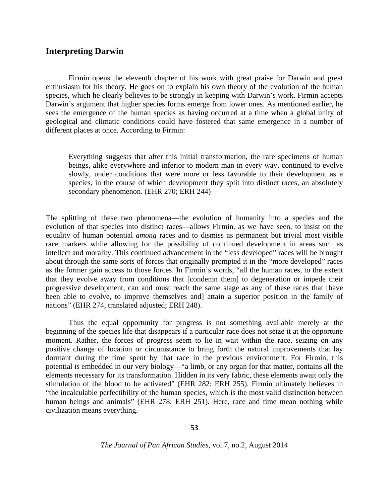## **Interpreting Darwin**

 Firmin opens the eleventh chapter of his work with great praise for Darwin and great enthusiasm for his theory. He goes on to explain his own theory of the evolution of the human species, which he clearly believes to be strongly in keeping with Darwin's work. Firmin accepts Darwin's argument that higher species forms emerge from lower ones. As mentioned earlier, he sees the emergence of the human species as having occurred at a time when a global unity of geological and climatic conditions could have fostered that same emergence in a number of different places at once. According to Firmin:

Everything suggests that after this initial transformation, the rare specimens of human beings, alike everywhere and inferior to modern man in every way, continued to evolve slowly, under conditions that were more or less favorable to their development as a species, in the course of which development they split into distinct races, an absolutely secondary phenomenon. (EHR 270; ERH 244)

The splitting of these two phenomena—the evolution of humanity into a species and the evolution of that species into distinct races—allows Firmin, as we have seen, to insist on the equality of human potential *among* races and to dismiss as permanent but trivial most visible race markers while allowing for the possibility of continued development in areas such as intellect and morality. This continued advancement in the "less developed" races will be brought about through the same sorts of forces that originally prompted it in the "more developed" races as the former gain access to those forces. In Firmin's words, "all the human races, to the extent that they evolve away from conditions that [condemn them] to degeneration or impede their progressive development, can and must reach the same stage as any of these races that [have been able to evolve, to improve themselves and] attain a superior position in the family of nations" (EHR 274, translated adjusted; ERH 248).

Thus the equal opportunity for progress is not something available merely at the beginning of the species life that disappears if a particular race does not seize it at the opportune moment. Rather, the forces of progress seem to lie in wait within the race, seizing on any positive change of location or circumstance to bring forth the natural improvements that lay dormant during the time spent by that race in the previous environment. For Firmin, this potential is embedded in our very biology—"a limb, or any organ for that matter, contains all the elements necessary for its transformation. Hidden in its very fabric, these elements await only the stimulation of the blood to be activated" (EHR 282; ERH 255). Firmin ultimately believes in "the incalculable perfectibility of the human species, which is the most valid distinction between human beings and animals" (EHR 278; ERH 251). Here, race and time mean nothing while civilization means everything.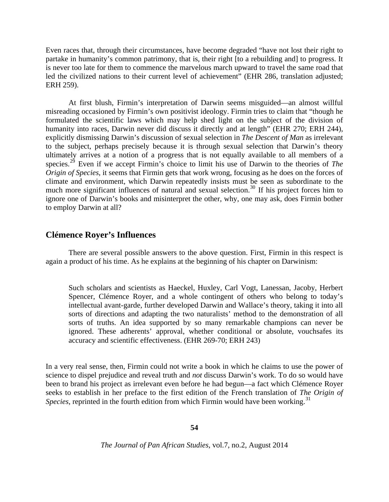Even races that, through their circumstances, have become degraded "have not lost their right to partake in humanity's common patrimony, that is, their right [to a rebuilding and] to progress. It is never too late for them to commence the marvelous march upward to travel the same road that led the civilized nations to their current level of achievement" (EHR 286, translation adjusted; ERH 259).

At first blush, Firmin's interpretation of Darwin seems misguided—an almost willful misreading occasioned by Firmin's own positivist ideology. Firmin tries to claim that "though he formulated the scientific laws which may help shed light on the subject of the division of humanity into races, Darwin never did discuss it directly and at length" (EHR 270; ERH 244), explicitly dismissing Darwin's discussion of sexual selection in *The Descent of Man* as irrelevant to the subject, perhaps precisely because it is through sexual selection that Darwin's theory ultimately arrives at a notion of a progress that is not equally available to all members of a species.<sup>[29](#page-22-1)</sup> Even if we accept Firmin's choice to limit his use of Darwin to the theories of *The Origin of Species*, it seems that Firmin gets that work wrong, focusing as he does on the forces of climate and environment, which Darwin repeatedly insists must be seen as subordinate to the much more significant influences of natural and sexual selection.<sup>[30](#page-22-1)</sup> If his project forces him to ignore one of Darwin's books and misinterpret the other, why, one may ask, does Firmin bother to employ Darwin at all?

## **Clémence Royer's Influences**

There are several possible answers to the above question. First, Firmin in this respect is again a product of his time. As he explains at the beginning of his chapter on Darwinism:

Such scholars and scientists as Haeckel, Huxley, Carl Vogt, Lanessan, Jacoby, Herbert Spencer, Clémence Royer, and a whole contingent of others who belong to today's intellectual avant-garde, further developed Darwin and Wallace's theory, taking it into all sorts of directions and adapting the two naturalists' method to the demonstration of all sorts of truths. An idea supported by so many remarkable champions can never be ignored. These adherents' approval, whether conditional or absolute, vouchsafes its accuracy and scientific effectiveness. (EHR 269-70; ERH 243)

In a very real sense, then, Firmin could not write a book in which he claims to use the power of science to dispel prejudice and reveal truth and *not* discuss Darwin's work. To do so would have been to brand his project as irrelevant even before he had begun—a fact which Clémence Royer seeks to establish in her preface to the first edition of the French translation of *The Origin of Species*, reprinted in the fourth edition from which Firmin would have been working.<sup>[31](#page-22-1)</sup>

**54**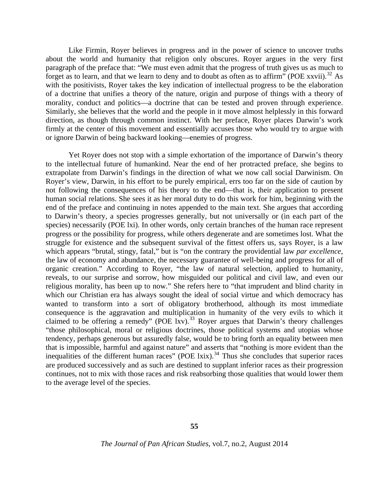Like Firmin, Royer believes in progress and in the power of science to uncover truths about the world and humanity that religion only obscures. Royer argues in the very first paragraph of the preface that: "We must even admit that the progress of truth gives us as much to forget as to learn, and that we learn to deny and to doubt as often as to affirm" (POE xxvii).<sup>[32](#page-22-1)</sup> As with the positivists, Royer takes the key indication of intellectual progress to be the elaboration of a doctrine that unifies a theory of the nature, origin and purpose of things with a theory of morality, conduct and politics—a doctrine that can be tested and proven through experience. Similarly, she believes that the world and the people in it move almost helplessly in this forward direction, as though through common instinct. With her preface, Royer places Darwin's work firmly at the center of this movement and essentially accuses those who would try to argue with or ignore Darwin of being backward looking—enemies of progress.

Yet Royer does not stop with a simple exhortation of the importance of Darwin's theory to the intellectual future of humankind. Near the end of her protracted preface, she begins to extrapolate from Darwin's findings in the direction of what we now call social Darwinism. On Royer's view, Darwin, in his effort to be purely empirical, errs too far on the side of caution by not following the consequences of his theory to the end—that is, their application to present human social relations. She sees it as her moral duty to do this work for him, beginning with the end of the preface and continuing in notes appended to the main text. She argues that according to Darwin's theory, a species progresses generally, but not universally or (in each part of the species) necessarily (POE lxi). In other words, only certain branches of the human race represent progress or the possibility for progress, while others degenerate and are sometimes lost. What the struggle for existence and the subsequent survival of the fittest offers us, says Royer, is a law which appears "brutal, stingy, fatal," but is "on the contrary the providential law *par excellence*, the law of economy and abundance, the necessary guarantee of well-being and progress for all of organic creation." According to Royer, "the law of natural selection, applied to humanity, reveals, to our surprise and sorrow, how misguided our political and civil law, and even our religious morality, has been up to now." She refers here to "that imprudent and blind charity in which our Christian era has always sought the ideal of social virtue and which democracy has wanted to transform into a sort of obligatory brotherhood, although its most immediate consequence is the aggravation and multiplication in humanity of the very evils to which it claimed to be offering a remedy" (POE lxv).<sup>[33](#page-23-0)</sup> Royer argues that Darwin's theory challenges "those philosophical, moral or religious doctrines, those political systems and utopias whose tendency, perhaps generous but assuredly false, would be to bring forth an equality between men that is impossible, harmful and against nature" and asserts that "nothing is more evident than the inequalities of the different human races" (POE lxix).<sup>[34](#page-23-0)</sup> Thus she concludes that superior races are produced successively and as such are destined to supplant inferior races as their progression continues, not to mix with those races and risk reabsorbing those qualities that would lower them to the average level of the species.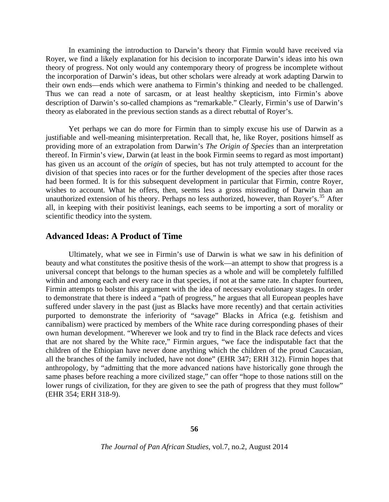In examining the introduction to Darwin's theory that Firmin would have received via Royer, we find a likely explanation for his decision to incorporate Darwin's ideas into his own theory of progress. Not only would any contemporary theory of progress be incomplete without the incorporation of Darwin's ideas, but other scholars were already at work adapting Darwin to their own ends—ends which were anathema to Firmin's thinking and needed to be challenged. Thus we can read a note of sarcasm, or at least healthy skepticism, into Firmin's above description of Darwin's so-called champions as "remarkable." Clearly, Firmin's use of Darwin's theory as elaborated in the previous section stands as a direct rebuttal of Royer's.

Yet perhaps we can do more for Firmin than to simply excuse his use of Darwin as a justifiable and well-meaning misinterpretation. Recall that, he, like Royer, positions himself as providing more of an extrapolation from Darwin's *The Origin of Species* than an interpretation thereof. In Firmin's view, Darwin (at least in the book Firmin seems to regard as most important) has given us an account of the *origin* of species, but has not truly attempted to account for the division of that species into races or for the further development of the species after those races had been formed. It is for this subsequent development in particular that Firmin, contre Royer, wishes to account. What he offers, then, seems less a gross misreading of Darwin than an unauthorized extension of his theory. Perhaps no less authorized, however, than Royer's.<sup>[35](#page-23-0)</sup> After all, in keeping with their positivist leanings, each seems to be importing a sort of morality or scientific theodicy into the system.

#### **Advanced Ideas: A Product of Time**

 Ultimately, what we see in Firmin's use of Darwin is what we saw in his definition of beauty and what constitutes the positive thesis of the work—an attempt to show that progress is a universal concept that belongs to the human species as a whole and will be completely fulfilled within and among each and every race in that species, if not at the same rate. In chapter fourteen, Firmin attempts to bolster this argument with the idea of necessary evolutionary stages. In order to demonstrate that there is indeed a "path of progress," he argues that all European peoples have suffered under slavery in the past (just as Blacks have more recently) and that certain activities purported to demonstrate the inferiority of "savage" Blacks in Africa (e.g. fetishism and cannibalism) were practiced by members of the White race during corresponding phases of their own human development. "Wherever we look and try to find in the Black race defects and vices that are not shared by the White race," Firmin argues, "we face the indisputable fact that the children of the Ethiopian have never done anything which the children of the proud Caucasian, all the branches of the family included, have not done" (EHR 347; ERH 312). Firmin hopes that anthropology, by "admitting that the more advanced nations have historically gone through the same phases before reaching a more civilized stage," can offer "hope to those nations still on the lower rungs of civilization, for they are given to see the path of progress that they must follow" (EHR 354; ERH 318-9).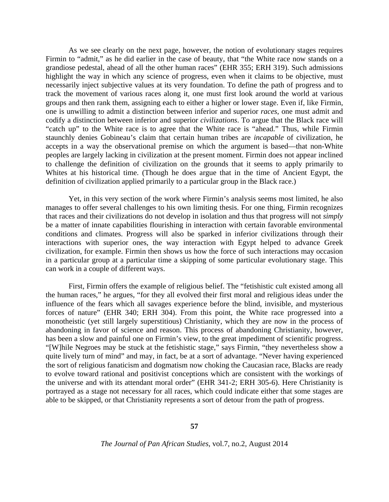As we see clearly on the next page, however, the notion of evolutionary stages requires Firmin to "admit," as he did earlier in the case of beauty, that "the White race now stands on a grandiose pedestal, ahead of all the other human races" (EHR 355; ERH 319). Such admissions highlight the way in which any science of progress, even when it claims to be objective, must necessarily inject subjective values at its very foundation. To define the path of progress and to track the movement of various races along it, one must first look around the world at various groups and then rank them, assigning each to either a higher or lower stage. Even if, like Firmin, one is unwilling to admit a distinction between inferior and superior *races*, one must admit and codify a distinction between inferior and superior *civilizations*. To argue that the Black race will "catch up" to the White race is to agree that the White race is "ahead." Thus, while Firmin staunchly denies Gobineau's claim that certain human tribes are *incapable* of civilization, he accepts in a way the observational premise on which the argument is based—that non-White peoples are largely lacking in civilization at the present moment. Firmin does not appear inclined to challenge the definition of civilization on the grounds that it seems to apply primarily to Whites at his historical time. (Though he does argue that in the time of Ancient Egypt, the definition of civilization applied primarily to a particular group in the Black race.)

 Yet, in this very section of the work where Firmin's analysis seems most limited, he also manages to offer several challenges to his own limiting thesis. For one thing, Firmin recognizes that races and their civilizations do not develop in isolation and thus that progress will not *simply* be a matter of innate capabilities flourishing in interaction with certain favorable environmental conditions and climates. Progress will also be sparked in inferior civilizations through their interactions with superior ones, the way interaction with Egypt helped to advance Greek civilization, for example. Firmin then shows us how the force of such interactions may occasion in a particular group at a particular time a skipping of some particular evolutionary stage. This can work in a couple of different ways.

First, Firmin offers the example of religious belief. The "fetishistic cult existed among all the human races," he argues, "for they all evolved their first moral and religious ideas under the influence of the fears which all savages experience before the blind, invisible, and mysterious forces of nature" (EHR 340; ERH 304). From this point, the White race progressed into a monotheistic (yet still largely superstitious) Christianity, which they are now in the process of abandoning in favor of science and reason. This process of abandoning Christianity, however, has been a slow and painful one on Firmin's view, to the great impediment of scientific progress. "[W]hile Negroes may be stuck at the fetishistic stage," says Firmin, "they nevertheless show a quite lively turn of mind" and may, in fact, be at a sort of advantage. "Never having experienced the sort of religious fanaticism and dogmatism now choking the Caucasian race, Blacks are ready to evolve toward rational and positivist conceptions which are consistent with the workings of the universe and with its attendant moral order" (EHR 341-2; ERH 305-6). Here Christianity is portrayed as a stage not necessary for all races, which could indicate either that some stages are able to be skipped, or that Christianity represents a sort of detour from the path of progress.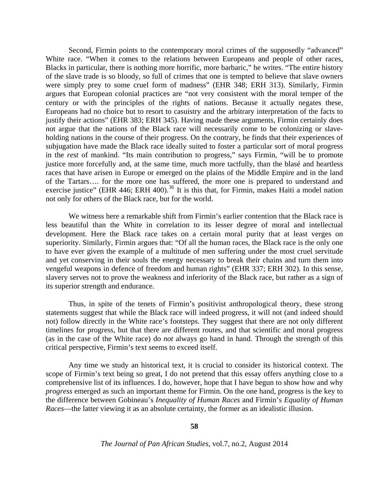Second, Firmin points to the contemporary moral crimes of the supposedly "advanced" White race. "When it comes to the relations between Europeans and people of other races, Blacks in particular, there is nothing more horrific, more barbaric," he writes. "The entire history of the slave trade is so bloody, so full of crimes that one is tempted to believe that slave owners were simply prey to some cruel form of madness" (EHR 348; ERH 313). Similarly, Firmin argues that European colonial practices are "not very consistent with the moral temper of the century or with the principles of the rights of nations. Because it actually negates these, Europeans had no choice but to resort to casuistry and the arbitrary interpretation of the facts to justify their actions" (EHR 383; ERH 345). Having made these arguments, Firmin certainly does not argue that the nations of the Black race will necessarily come to be colonizing or slaveholding nations in the course of their progress. On the contrary, he finds that their experiences of subjugation have made the Black race ideally suited to foster a particular sort of moral progress in the *rest* of mankind. "Its main contribution to progress," says Firmin, "will be to promote justice more forcefully and, at the same time, much more tactfully, than the blasé and heartless races that have arisen in Europe or emerged on the plains of the Middle Empire and in the land of the Tartars…. for the more one has suffered, the more one is prepared to understand and exercise justice" (EHR 446; ERH 400).<sup>[36](#page-23-0)</sup> It is this that, for Firmin, makes Haiti a model nation not only for others of the Black race, but for the world.

We witness here a remarkable shift from Firmin's earlier contention that the Black race is less beautiful than the White in correlation to its lesser degree of moral and intellectual development. Here the Black race takes on a certain moral purity that at least verges on superiority. Similarly, Firmin argues that: "Of all the human races, the Black race is the only one to have ever given the example of a multitude of men suffering under the most cruel servitude and yet conserving in their souls the energy necessary to break their chains and turn them into vengeful weapons in defence of freedom and human rights" (EHR 337; ERH 302). In this sense, slavery serves not to prove the weakness and inferiority of the Black race, but rather as a sign of its superior strength and endurance.

Thus, in spite of the tenets of Firmin's positivist anthropological theory, these strong statements suggest that while the Black race will indeed progress, it will not (and indeed should not) follow directly in the White race's footsteps. They suggest that there are not only different timelines for progress, but that there are different routes, and that scientific and moral progress (as in the case of the White race) do *not* always go hand in hand. Through the strength of this critical perspective, Firmin's text seems to exceed itself.

 Any time we study an historical text, it is crucial to consider its historical context. The scope of Firmin's text being so great, I do not pretend that this essay offers anything close to a comprehensive list of its influences. I do, however, hope that I have begun to show how and why *progress* emerged as such an important theme for Firmin. On the one hand, progress is the key to the difference between Gobineau's *Inequality of Human Races* and Firmin's *Equality of Human Races*—the latter viewing it as an absolute certainty, the former as an idealistic illusion.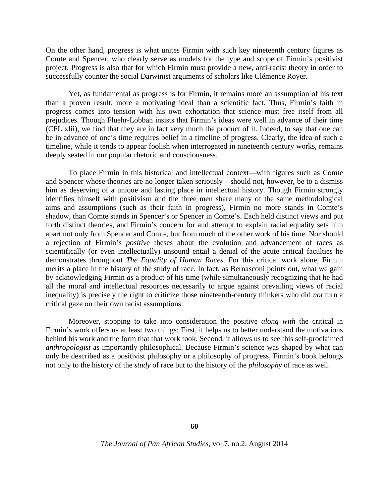On the other hand, progress is what unites Firmin with such key nineteenth century figures as Comte and Spencer, who clearly serve as models for the type and scope of Firmin's positivist project. Progress is also that for which Firmin must provide a new, anti-racist theory in order to successfully counter the social Darwinist arguments of scholars like Clémence Royer.

 Yet, as fundamental as progress is for Firmin, it remains more an assumption of his text than a proven result, more a motivating ideal than a scientific fact. Thus, Firmin's faith in progress comes into tension with his own exhortation that science must free itself from all prejudices. Though Fluehr-Lobban insists that Firmin's ideas were well in advance of their time (CFL xlii), we find that they are in fact very much the product of it. Indeed, to say that one can be in advance of one's time requires belief in a timeline of progress. Clearly, the idea of such a timeline, while it tends to appear foolish when interrogated in nineteenth century works, remains deeply seated in our popular rhetoric and consciousness.

 To place Firmin in this historical and intellectual context—with figures such as Comte and Spencer whose theories are no longer taken seriously—should not, however, be to a dismiss him as deserving of a unique and lasting place in intellectual history. Though Firmin strongly identifies himself with positivism and the three men share many of the same methodological aims and assumptions (such as their faith in progress), Firmin no more stands in Comte's shadow, than Comte stands in Spencer's or Spencer in Comte's. Each held distinct views and put forth distinct theories, and Firmin's concern for and attempt to explain racial equality sets him apart not only from Spencer and Comte, but from much of the other work of his time. Nor should a rejection of Firmin's *positive* theses about the evolution and advancement of races as scientifically (or even intellectually) unsound entail a denial of the acute critical faculties he demonstrates throughout *The Equality of Human Races*. For this critical work alone, Firmin merits a place in the history of the study of race. In fact, as Bernasconi points out, what we gain by acknowledging Firmin *as* a product of his time (while simultaneously recognizing that he had all the moral and intellectual resources necessarily to argue against prevailing views of racial inequality) is precisely the right to criticize those nineteenth-century thinkers who did *not* turn a critical gaze on their own racist assumptions.

Moreover, stopping to take into consideration the positive *along with* the critical in Firmin's work offers us at least two things: First, it helps us to better understand the motivations behind his work and the form that that work took. Second, it allows us to see this self-proclaimed *anthropologist* as importantly philosophical. Because Firmin's science was shaped by what can only be described as a positivist philosophy or a philosophy of progress, Firmin's book belongs not only to the history of the *study* of race but to the history of the *philosophy* of race as well.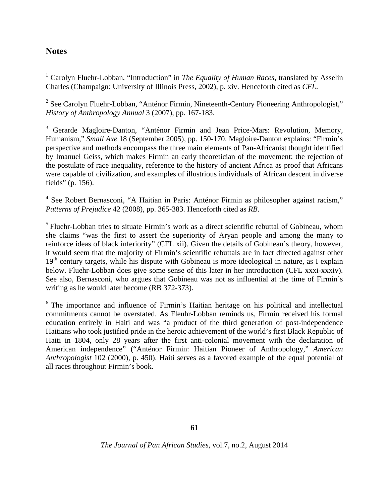## **Notes**

<sup>1</sup> Carolyn Fluehr-Lobban, "Introduction" in *The Equality of Human Races*, translated by Asselin Charles (Champaign: University of Illinois Press, 2002), p. xiv. Henceforth cited as *CFL*.

<sup>2</sup> See Carolyn Fluehr-Lobban, "Anténor Firmin, Nineteenth-Century Pioneering Anthropologist," *History of Anthropology Annual* 3 (2007), pp. 167-183.

<sup>3</sup> Gerarde Magloire-Danton, "Anténor Firmin and Jean Price-Mars: Revolution, Memory, Humanism," *Small Axe* 18 (September 2005), pp. 150-170. Magloire-Danton explains: "Firmin's perspective and methods encompass the three main elements of Pan-Africanist thought identified by Imanuel Geiss, which makes Firmin an early theoretician of the movement: the rejection of the postulate of race inequality, reference to the history of ancient Africa as proof that Africans were capable of civilization, and examples of illustrious individuals of African descent in diverse fields" (p. 156).

<sup>4</sup> See Robert Bernasconi, "A Haitian in Paris: Anténor Firmin as philosopher against racism," *Patterns of Prejudice* 42 (2008), pp. 365-383. Henceforth cited as *RB*.

<sup>5</sup> Fluehr-Lobban tries to situate Firmin's work as a direct scientific rebuttal of Gobineau, whom she claims "was the first to assert the superiority of Aryan people and among the many to reinforce ideas of black inferiority" (CFL xii). Given the details of Gobineau's theory, however, it would seem that the majority of Firmin's scientific rebuttals are in fact directed against other  $19<sup>th</sup>$  century targets, while his dispute with Gobineau is more ideological in nature, as I explain below. Fluehr-Lobban does give some sense of this later in her introduction (CFL xxxi-xxxiv). See also, Bernasconi, who argues that Gobineau was not as influential at the time of Firmin's writing as he would later become (RB 372-373).

<sup>6</sup> The importance and influence of Firmin's Haitian heritage on his political and intellectual commitments cannot be overstated. As Fleuhr-Lobban reminds us, Firmin received his formal education entirely in Haiti and was "a product of the third generation of post-independence Haitians who took justified pride in the heroic achievement of the world's first Black Republic of Haiti in 1804, only 28 years after the first anti-colonial movement with the declaration of American independence" ("Anténor Firmin: Haitian Pioneer of Anthropology," *American Anthropologist* 102 (2000), p. 450). Haiti serves as a favored example of the equal potential of all races throughout Firmin's book.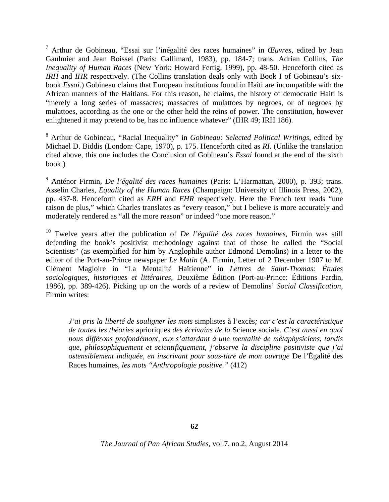7 Arthur de Gobineau, "Essai sur l'inégalité des races humaines" in *Œuvres*, edited by Jean Gaulmier and Jean Boissel (Paris: Gallimard, 1983), pp. 184-7; trans. Adrian Collins, *The Inequality of Human Races* (New York: Howard Fertig, 1999), pp. 48-50. Henceforth cited as *IRH* and *IHR* respectively. (The Collins translation deals only with Book I of Gobineau's sixbook *Essai*.) Gobineau claims that European institutions found in Haiti are incompatible with the African manners of the Haitians. For this reason, he claims, the history of democratic Haiti is "merely a long series of massacres; massacres of mulattoes by negroes, or of negroes by mulattoes, according as the one or the other held the reins of power. The constitution, however enlightened it may pretend to be, has no influence whatever" (IHR 49; IRH 186).

8 Arthur de Gobineau, "Racial Inequality" in *Gobineau: Selected Political Writings*, edited by Michael D. Biddis (London: Cape, 1970), p. 175. Henceforth cited as *RI*. (Unlike the translation cited above, this one includes the Conclusion of Gobineau's *Essai* found at the end of the sixth book.)

9 Anténor Firmin, *De l'égalité des races humaines* (Paris: L'Harmattan, 2000), p. 393; trans. Asselin Charles, *Equality of the Human Races* (Champaign: University of Illinois Press, 2002), pp. 437-8. Henceforth cited as *ERH* and *EHR* respectively. Here the French text reads "une raison de plus," which Charles translates as "every reason," but I believe is more accurately and moderately rendered as "all the more reason" or indeed "one more reason."

10 Twelve years after the publication of *De l'égalité des races humaines*, Firmin was still defending the book's positivist methodology against that of those he called the "Social Scientists" (as exemplified for him by Anglophile author Edmond Demolins) in a letter to the editor of the Port-au-Prince newspaper *Le Matin* (A. Firmin, Letter of 2 December 1907 to M. Clément Magloire in "La Mentalité Haïtienne" in *Lettres de Saint-Thomas: Études sociologiques, historiques et littéraires*, Deuxième Édition (Port-au-Prince: Éditions Fardin, 1986), pp. 389-426). Picking up on the words of a review of Demolins' *Social Classification*, Firmin writes:

*J'ai pris la liberté de souligner les mots* simplistes à l'excès*; car c'est la caractéristique de toutes les théories* aprioriques *des écrivains de la* Science sociale*. C'est aussi en quoi nous différons profondémont, eux s'attardant à une mentalité de métaphysiciens, tandis que, philosophiquement et scientifiquement, j'observe la discipline positiviste que j'ai ostensiblement indiquée, en inscrivant pour sous-titre de mon ouvrage* De l'Égalité des Races humaines*, les mots "Anthropologie positive."* (412)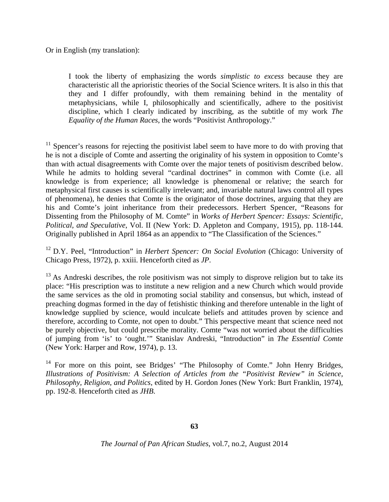Or in English (my translation):

I took the liberty of emphasizing the words *simplistic to excess* because they are characteristic all the aprioristic theories of the Social Science writers. It is also in this that they and I differ profoundly, with them remaining behind in the mentality of metaphysicians, while I, philosophically and scientifically, adhere to the positivist discipline, which I clearly indicated by inscribing, as the subtitle of my work *The Equality of the Human Races*, the words "Positivist Anthropology."

 $11$  Spencer's reasons for rejecting the positivist label seem to have more to do with proving that he is not a disciple of Comte and asserting the originality of his system in opposition to Comte's than with actual disagreements with Comte over the major tenets of positivism described below. While he admits to holding several "cardinal doctrines" in common with Comte (i.e. all knowledge is from experience; all knowledge is phenomenal or relative; the search for metaphysical first causes is scientifically irrelevant; and, invariable natural laws control all types of phenomena), he denies that Comte is the originator of those doctrines, arguing that they are his and Comte's joint inheritance from their predecessors. Herbert Spencer, "Reasons for Dissenting from the Philosophy of M. Comte" in *Works of Herbert Spencer: Essays: Scientific, Political, and Speculative*, Vol. II (New York: D. Appleton and Company, 1915), pp. 118-144. Originally published in April 1864 as an appendix to "The Classification of the Sciences."

12 D.Y. Peel, "Introduction" in *Herbert Spencer: On Social Evolution* (Chicago: University of Chicago Press, 1972), p. xxiii. Henceforth cited as *JP*.

 $13$  As Andreski describes, the role positivism was not simply to disprove religion but to take its place: "His prescription was to institute a new religion and a new Church which would provide the same services as the old in promoting social stability and consensus, but which, instead of preaching dogmas formed in the day of fetishistic thinking and therefore untenable in the light of knowledge supplied by science, would inculcate beliefs and attitudes proven by science and therefore, according to Comte, not open to doubt." This perspective meant that science need not be purely objective, but could prescribe morality. Comte "was not worried about the difficulties of jumping from 'is' to 'ought.'" Stanislav Andreski, "Introduction" in *The Essential Comte* (New York: Harper and Row, 1974), p. 13.

<sup>14</sup> For more on this point, see Bridges' "The Philosophy of Comte." John Henry Bridges, *Illustrations of Positivism: A Selection of Articles from the "Positivist Review" in Science, Philosophy, Religion, and Politics*, edited by H. Gordon Jones (New York: Burt Franklin, 1974), pp. 192-8. Henceforth cited as *JHB*.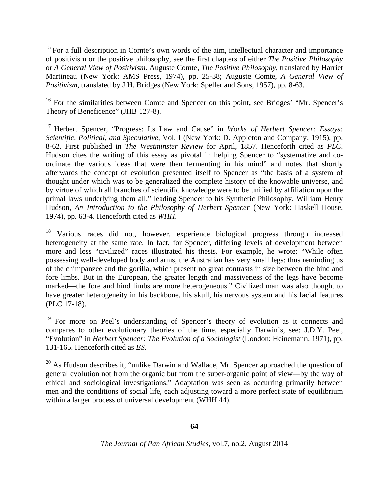<sup>15</sup> For a full description in Comte's own words of the aim, intellectual character and importance of positivism or the positive philosophy, see the first chapters of either *The Positive Philosophy* or *A General View of Positivism*. Auguste Comte, *The Positive Philosophy*, translated by Harriet Martineau (New York: AMS Press, 1974), pp. 25-38; Auguste Comte, *A General View of Positivism*, translated by J.H. Bridges (New York: Speller and Sons, 1957), pp. 8-63.

<sup>16</sup> For the similarities between Comte and Spencer on this point, see Bridges' "Mr. Spencer's Theory of Beneficence" (JHB 127-8).

17 Herbert Spencer, "Progress: Its Law and Cause" in *Works of Herbert Spencer: Essays: Scientific, Political, and Speculative*, Vol. I (New York: D. Appleton and Company, 1915), pp. 8-62. First published in *The Westminster Review* for April, 1857. Henceforth cited as *PLC*. Hudson cites the writing of this essay as pivotal in helping Spencer to "systematize and coordinate the various ideas that were then fermenting in his mind" and notes that shortly afterwards the concept of evolution presented itself to Spencer as "the basis of a system of thought under which was to be generalized the complete history of the knowable universe, and by virtue of which all branches of scientific knowledge were to be unified by affiliation upon the primal laws underlying them all," leading Spencer to his Synthetic Philosophy. William Henry Hudson, *An Introduction to the Philosophy of Herbert Spencer* (New York: Haskell House, 1974), pp. 63-4. Henceforth cited as *WHH*.

<sup>18</sup> Various races did not, however, experience biological progress through increased heterogeneity at the same rate. In fact, for Spencer, differing levels of development between more and less "civilized" races illustrated his thesis. For example, he wrote: "While often possessing well-developed body and arms, the Australian has very small legs: thus reminding us of the chimpanzee and the gorilla, which present no great contrasts in size between the hind and fore limbs. But in the European, the greater length and massiveness of the legs have become marked—the fore and hind limbs are more heterogeneous." Civilized man was also thought to have greater heterogeneity in his backbone, his skull, his nervous system and his facial features (PLC 17-18).

<sup>19</sup> For more on Peel's understanding of Spencer's theory of evolution as it connects and compares to other evolutionary theories of the time, especially Darwin's, see: J.D.Y. Peel, "Evolution" in *Herbert Spencer: The Evolution of a Sociologist* (London: Heinemann, 1971), pp. 131-165. Henceforth cited as *ES*.

 $20$  As Hudson describes it, "unlike Darwin and Wallace, Mr. Spencer approached the question of general evolution not from the organic but from the super-organic point of view—by the way of ethical and sociological investigations." Adaptation was seen as occurring primarily between men and the conditions of social life, each adjusting toward a more perfect state of equilibrium within a larger process of universal development (WHH 44).

**64**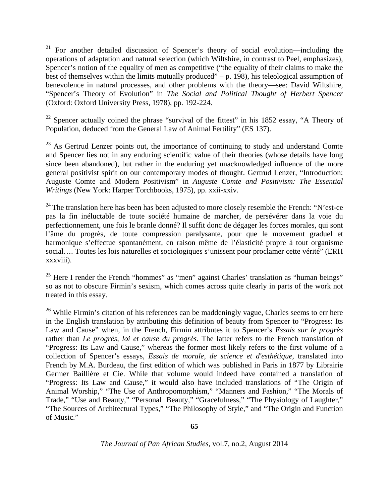<sup>21</sup> For another detailed discussion of Spencer's theory of social evolution—including the operations of adaptation and natural selection (which Wiltshire, in contrast to Peel, emphasizes), Spencer's notion of the equality of men as competitive ("the equality of their claims to make the best of themselves within the limits mutually produced" – p. 198), his teleological assumption of benevolence in natural processes, and other problems with the theory—see: David Wiltshire, "Spencer's Theory of Evolution" in *The Social and Political Thought of Herbert Spencer* (Oxford: Oxford University Press, 1978), pp. 192-224.

<sup>22</sup> Spencer actually coined the phrase "survival of the fittest" in his 1852 essay, "A Theory of Population, deduced from the General Law of Animal Fertility" (ES 137).

 $^{23}$  As Gertrud Lenzer points out, the importance of continuing to study and understand Comte and Spencer lies not in any enduring scientific value of their theories (whose details have long since been abandoned), but rather in the enduring yet unacknowledged influence of the more general positivist spirit on our contemporary modes of thought. Gertrud Lenzer, "Introduction: Auguste Comte and Modern Positivism" in *Auguste Comte and Positivism: The Essential Writings* (New York: Harper Torchbooks, 1975), pp. xxii-xxiv.

 $^{24}$  The translation here has been has been adjusted to more closely resemble the French: "N'est-ce" pas la fin inéluctable de toute société humaine de marcher, de persévérer dans la voie du perfectionnement, une fois le branle donné? Il suffit donc de dégager les forces morales, qui sont l'âme du progrès, de toute compression paralysante, pour que le movement graduel et harmonique s'effectue spontanément, en raison même de l'élasticité propre à tout organisme social.... Toutes les lois naturelles et sociologiques s'unissent pour proclamer cette vérité" (ERH xxxviii).

 $25$  Here I render the French "hommes" as "men" against Charles' translation as "human beings" so as not to obscure Firmin's sexism, which comes across quite clearly in parts of the work not treated in this essay.

<sup>26</sup> While Firmin's citation of his references can be maddeningly vague, Charles seems to err here in the English translation by attributing this definition of beauty from Spencer to "Progress: Its Law and Cause" when, in the French, Firmin attributes it to Spencer's *Essais sur le progrès* rather than *Le progrès, loi et cause du progrès*. The latter refers to the French translation of "Progress: Its Law and Cause," whereas the former most likely refers to the first volume of a collection of Spencer's essays, *Essais de morale, de science et d'esthétique,* translated into French by M.A. Burdeau, the first edition of which was published in Paris in 1877 by Librairie Germer Baillière et Cie. While that volume would indeed have contained a translation of "Progress: Its Law and Cause," it would also have included translations of "The Origin of Animal Worship," "The Use of Anthropomorphism," "Manners and Fashion," "The Morals of Trade," "Use and Beauty," "Personal Beauty," "Gracefulness," "The Physiology of Laughter," "The Sources of Architectural Types," "The Philosophy of Style," and "The Origin and Function of Music."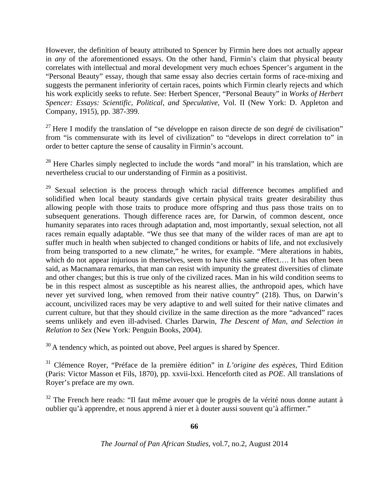However, the definition of beauty attributed to Spencer by Firmin here does not actually appear in *any* of the aforementioned essays. On the other hand, Firmin's claim that physical beauty correlates with intellectual and moral development very much echoes Spencer's argument in the "Personal Beauty" essay, though that same essay also decries certain forms of race-mixing and suggests the permanent inferiority of certain races, points which Firmin clearly rejects and which his work explicitly seeks to refute. See: Herbert Spencer, "Personal Beauty" in *Works of Herbert Spencer: Essays: Scientific, Political, and Speculative*, Vol. II (New York: D. Appleton and Company, 1915), pp. 387-399.

 $27$  Here I modify the translation of "se développe en raison directe de son degré de civilisation" from "is commensurate with its level of civilization" to "develops in direct correlation to" in order to better capture the sense of causality in Firmin's account.

 $28$  Here Charles simply neglected to include the words "and moral" in his translation, which are nevertheless crucial to our understanding of Firmin as a positivist.

 $29$  Sexual selection is the process through which racial difference becomes amplified and solidified when local beauty standards give certain physical traits greater desirability thus allowing people with those traits to produce more offspring and thus pass those traits on to subsequent generations. Though difference races are, for Darwin, of common descent, once humanity separates into races through adaptation and, most importantly, sexual selection, not all races remain equally adaptable. "We thus see that many of the wilder races of man are apt to suffer much in health when subjected to changed conditions or habits of life, and not exclusively from being transported to a new climate," he writes, for example. "Mere alterations in habits, which do not appear injurious in themselves, seem to have this same effect.... It has often been said, as Macnamara remarks, that man can resist with impunity the greatest diversities of climate and other changes; but this is true only of the civilized races. Man in his wild condition seems to be in this respect almost as susceptible as his nearest allies, the anthropoid apes, which have never yet survived long, when removed from their native country" (218). Thus, on Darwin's account, uncivilized races may be very adaptive to and well suited for their native climates and current culture, but that they should civilize in the same direction as the more "advanced" races seems unlikely and even ill-advised. Charles Darwin, *The Descent of Man, and Selection in Relation to Sex* (New York: Penguin Books, 2004).

 $30$  A tendency which, as pointed out above, Peel argues is shared by Spencer.

31 Clémence Royer, "Préface de la première édition" in *L'origine des espèces*, Third Edition (Paris: Victor Masson et Fils, 1870), pp. xxvii-lxxi. Henceforth cited as *POE*. All translations of Royer's preface are my own.

 $32$  The French here reads: "Il faut même avouer que le progrès de la vérité nous donne autant à oublier qu'à apprendre, et nous apprend à nier et à douter aussi souvent qu'à affirmer."

**66**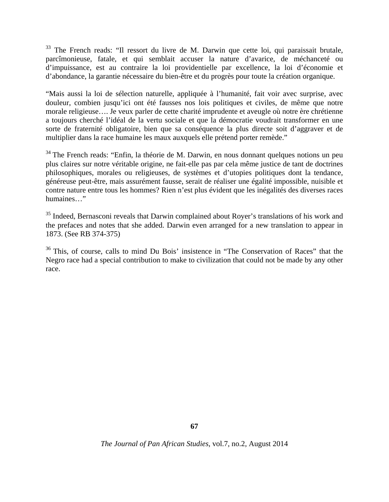$33$  The French reads: "Il ressort du livre de M. Darwin que cette loi, qui paraissait brutale, parcîmonieuse, fatale, et qui semblait accuser la nature d'avarice, de méchanceté ou d'impuissance, est au contraire la loi providentielle par excellence, la loi d'économie et d'abondance, la garantie nécessaire du bien-être et du progrès pour toute la création organique.

"Mais aussi la loi de sélection naturelle, appliquée à l'humanité, fait voir avec surprise, avec douleur, combien jusqu'ici ont été fausses nos lois politiques et civiles, de même que notre morale religieuse…. Je veux parler de cette charité imprudente et aveugle où notre ère chrétienne a toujours cherché l'idéal de la vertu sociale et que la démocratie voudrait transformer en une sorte de fraternité obligatoire, bien que sa conséquence la plus directe soit d'aggraver et de multiplier dans la race humaine les maux auxquels elle prétend porter remède."

<sup>34</sup> The French reads: "Enfin, la théorie de M. Darwin, en nous donnant quelques notions un peu plus claires sur notre véritable origine, ne fait-elle pas par cela même justice de tant de doctrines philosophiques, morales ou religieuses, de systèmes et d'utopies politiques dont la tendance, généreuse peut-être, mais assurément fausse, serait de réaliser une égalité impossible, nuisible et contre nature entre tous les hommes? Rien n'est plus évident que les inégalités des diverses races humaines…"

<sup>35</sup> Indeed, Bernasconi reveals that Darwin complained about Royer's translations of his work and the prefaces and notes that she added. Darwin even arranged for a new translation to appear in 1873. (See RB 374-375)

 $36$  This, of course, calls to mind Du Bois' insistence in "The Conservation of Races" that the Negro race had a special contribution to make to civilization that could not be made by any other race.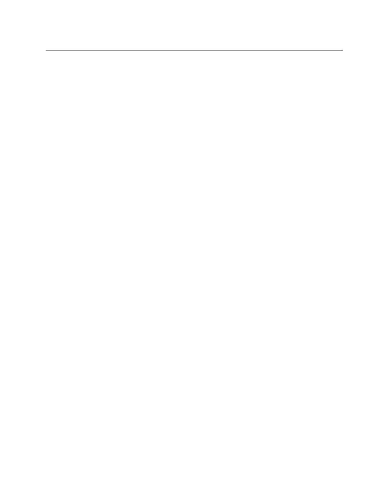<span id="page-22-1"></span><span id="page-22-0"></span>